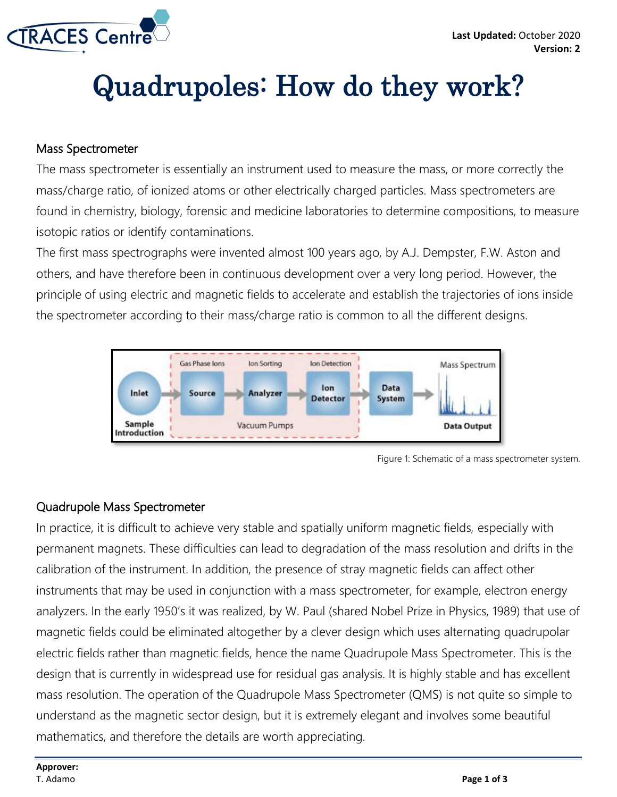

## Quadrupoles: How do they work?

## Mass Spectrometer

The mass spectrometer is essentially an instrument used to measure the mass, or more correctly the mass/charge ratio, of ionized atoms or other electrically charged particles. Mass spectrometers are found in chemistry, biology, forensic and medicine laboratories to determine compositions, to measure isotopic ratios or identify contaminations.

The first mass spectrographs were invented almost 100 years ago, by A.J. Dempster, F.W. Aston and others, and have therefore been in continuous development over a very long period. However, the principle of using electric and magnetic fields to accelerate and establish the trajectories of ions inside the spectrometer according to their mass/charge ratio is common to all the different designs.



Figure 1: Schematic of a mass spectrometer system.

## Quadrupole Mass Spectrometer

In practice, it is difficult to achieve very stable and spatially uniform magnetic fields, especially with permanent magnets. These difficulties can lead to degradation of the mass resolution and drifts in the calibration of the instrument. In addition, the presence of stray magnetic fields can affect other instruments that may be used in conjunction with a mass spectrometer, for example, electron energy analyzers. In the early 1950's it was realized, by W. Paul (shared Nobel Prize in Physics, 1989) that use of magnetic fields could be eliminated altogether by a clever design which uses alternating quadrupolar electric fields rather than magnetic fields, hence the name Quadrupole Mass Spectrometer. This is the design that is currently in widespread use for residual gas analysis. It is highly stable and has excellent mass resolution. The operation of the Quadrupole Mass Spectrometer (QMS) is not quite so simple to understand as the magnetic sector design, but it is extremely elegant and involves some beautiful mathematics, and therefore the details are worth appreciating.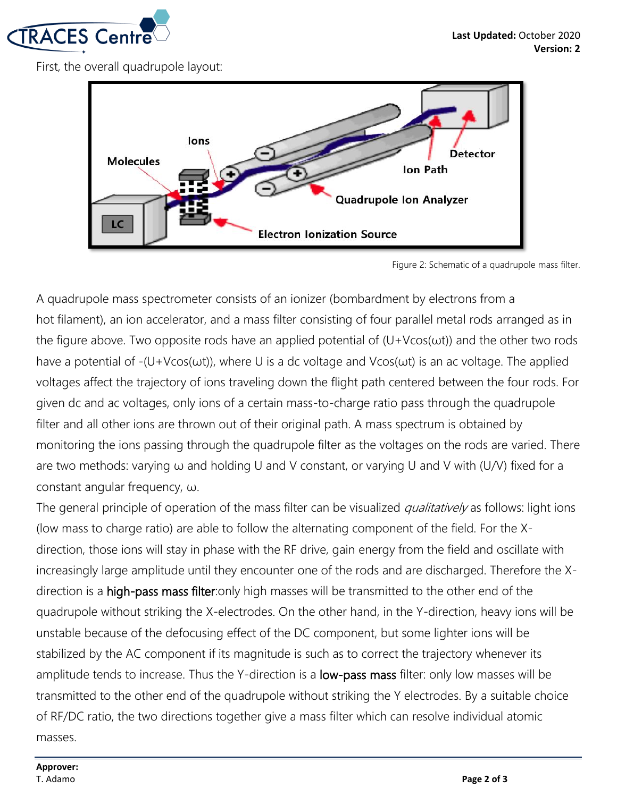

First, the overall quadrupole layout:



Figure 2: Schematic of a quadrupole mass filter.

A quadrupole mass spectrometer consists of an ionizer (bombardment by electrons from a hot filament), an ion accelerator, and a mass filter consisting of four parallel metal rods arranged as in the figure above. Two opposite rods have an applied potential of  $(U+V\cos(\omega t))$  and the other two rods have a potential of -(U+Vcos(ωt)), where U is a dc voltage and Vcos(ωt) is an ac voltage. The applied voltages affect the trajectory of ions traveling down the flight path centered between the four rods. For given dc and ac voltages, only ions of a certain mass-to-charge ratio pass through the quadrupole filter and all other ions are thrown out of their original path. A mass spectrum is obtained by monitoring the ions passing through the quadrupole filter as the voltages on the rods are varied. There are two methods: varying ω and holding U and V constant, or varying U and V with (U/V) fixed for a constant angular frequency, ω.

The general principle of operation of the mass filter can be visualized *qualitatively* as follows: light ions (low mass to charge ratio) are able to follow the alternating component of the field. For the Xdirection, those ions will stay in phase with the RF drive, gain energy from the field and oscillate with increasingly large amplitude until they encounter one of the rods and are discharged. Therefore the Xdirection is a high-pass mass filter:only high masses will be transmitted to the other end of the quadrupole without striking the X-electrodes. On the other hand, in the Y-direction, heavy ions will be unstable because of the defocusing effect of the DC component, but some lighter ions will be stabilized by the AC component if its magnitude is such as to correct the trajectory whenever its amplitude tends to increase. Thus the Y-direction is a **low-pass mass** filter: only low masses will be transmitted to the other end of the quadrupole without striking the Y electrodes. By a suitable choice of RF/DC ratio, the two directions together give a mass filter which can resolve individual atomic masses.